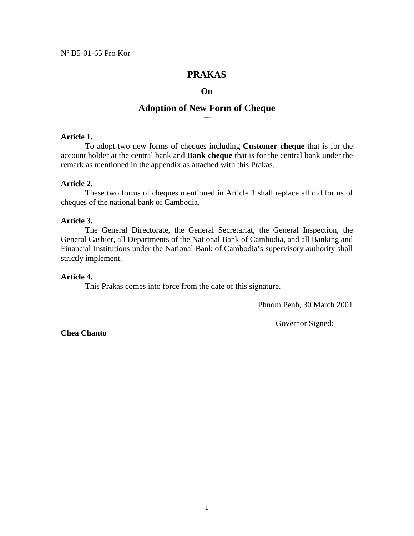# **PRAKAS**

#### **On**

## **Adoption of New Form of Cheque**

#### **Article 1.**

 To adopt two new forms of cheques including **Customer cheque** that is for the account holder at the central bank and **Bank cheque** that is for the central bank under the remark as mentioned in the appendix as attached with this Prakas.

#### **Article 2.**

 These two forms of cheques mentioned in Article 1 shall replace all old forms of cheques of the national bank of Cambodia.

## **Article 3.**

The General Directorate, the General Secretariat, the General Inspection, the General Cashier, all Departments of the National Bank of Cambodia, and all Banking and Financial Institutions under the National Bank of Cambodia's supervisory authority shall strictly implement.

#### **Article 4.**

This Prakas comes into force from the date of this signature.

Phnom Penh, 30 March 2001

Governor Signed:

**Chea Chanto**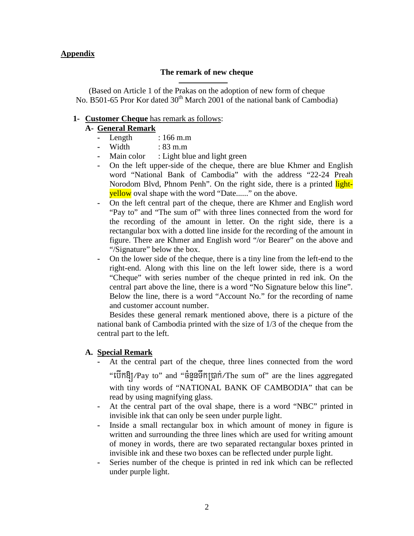## **Appendix**

## **The remark of new cheque**

(Based on Article 1 of the Prakas on the adoption of new form of cheque No. B501-65 Pror Kor dated 30<sup>th</sup> March 2001 of the national bank of Cambodia)

## **1- Customer Cheque** has remark as follows:

# **A- General Remark**

- **-** Length : 166 m.m
- **-** Width : 83 m.m
- **-** Main color : Light blue and light green
- **-** On the left upper-side of the cheque, there are blue Khmer and English word "National Bank of Cambodia" with the address "22-24 Preah Norodom Blvd, Phnom Penh". On the right side, there is a printed lightyellow oval shape with the word "Date......" on the above.
- **-** On the left central part of the cheque, there are Khmer and English word "Pay to" and "The sum of" with three lines connected from the word for the recording of the amount in letter. On the right side, there is a rectangular box with a dotted line inside for the recording of the amount in figure. There are Khmer and English word "/or Bearer" on the above and "/Signature" below the box.
- **-** On the lower side of the cheque, there is a tiny line from the left-end to the right-end. Along with this line on the left lower side, there is a word "Cheque" with series number of the cheque printed in red ink. On the central part above the line, there is a word "No Signature below this line". Below the line, there is a word "Account No." for the recording of name and customer account number.

Besides these general remark mentioned above, there is a picture of the national bank of Cambodia printed with the size of 1/3 of the cheque from the central part to the left.

## **A. Special Remark**

- **-** At the central part of the cheque, three lines connected from the word "ebIk[¼Pay to" and "cMnYnTwkR)ak;¼The sum of" are the lines aggregated with tiny words of "NATIONAL BANK OF CAMBODIA" that can be read by using magnifying glass.
- **-** At the central part of the oval shape, there is a word "NBC" printed in invisible ink that can only be seen under purple light.
- **-** Inside a small rectangular box in which amount of money in figure is written and surrounding the three lines which are used for writing amount of money in words, there are two separated rectangular boxes printed in invisible ink and these two boxes can be reflected under purple light.
- **-** Series number of the cheque is printed in red ink which can be reflected under purple light.